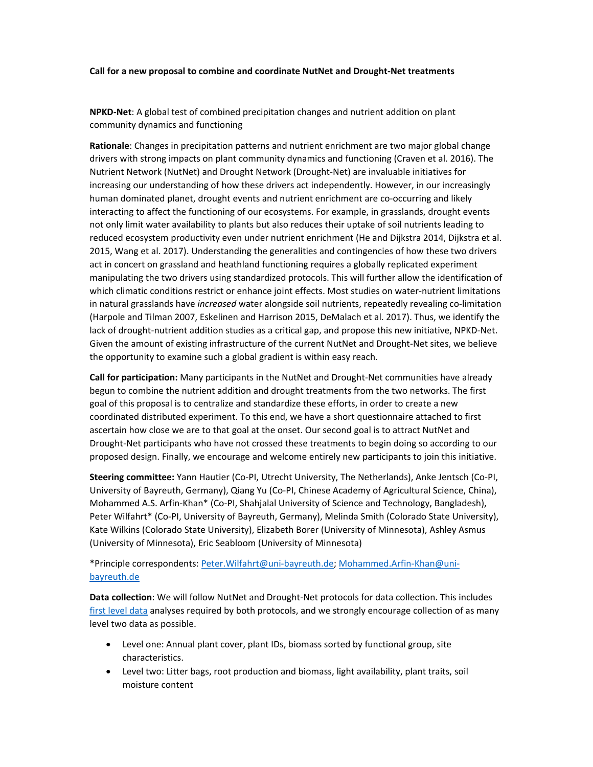#### **Call for a new proposal to combine and coordinate NutNet and Drought‐Net treatments**

**NPKD‐Net**: A global test of combined precipitation changes and nutrient addition on plant community dynamics and functioning

**Rationale**: Changes in precipitation patterns and nutrient enrichment are two major global change drivers with strong impacts on plant community dynamics and functioning (Craven et al. 2016). The Nutrient Network (NutNet) and Drought Network (Drought‐Net) are invaluable initiatives for increasing our understanding of how these drivers act independently. However, in our increasingly human dominated planet, drought events and nutrient enrichment are co-occurring and likely interacting to affect the functioning of our ecosystems. For example, in grasslands, drought events not only limit water availability to plants but also reduces their uptake of soil nutrients leading to reduced ecosystem productivity even under nutrient enrichment (He and Dijkstra 2014, Dijkstra et al. 2015, Wang et al. 2017). Understanding the generalities and contingencies of how these two drivers act in concert on grassland and heathland functioning requires a globally replicated experiment manipulating the two drivers using standardized protocols. This will further allow the identification of which climatic conditions restrict or enhance joint effects. Most studies on water‐nutrient limitations in natural grasslands have *increased* water alongside soil nutrients, repeatedly revealing co‐limitation (Harpole and Tilman 2007, Eskelinen and Harrison 2015, DeMalach et al. 2017). Thus, we identify the lack of drought‐nutrient addition studies as a critical gap, and propose this new initiative, NPKD‐Net. Given the amount of existing infrastructure of the current NutNet and Drought‐Net sites, we believe the opportunity to examine such a global gradient is within easy reach.

**Call for participation:** Many participants in the NutNet and Drought‐Net communities have already begun to combine the nutrient addition and drought treatments from the two networks. The first goal of this proposal is to centralize and standardize these efforts, in order to create a new coordinated distributed experiment. To this end, we have a short questionnaire attached to first ascertain how close we are to that goal at the onset. Our second goal is to attract NutNet and Drought‐Net participants who have not crossed these treatments to begin doing so according to our proposed design. Finally, we encourage and welcome entirely new participants to join this initiative.

**Steering committee:** Yann Hautier (Co‐PI, Utrecht University, The Netherlands), Anke Jentsch (Co‐PI, University of Bayreuth, Germany), Qiang Yu (Co‐PI, Chinese Academy of Agricultural Science, China), Mohammed A.S. Arfin‐Khan\* (Co‐PI, Shahjalal University of Science and Technology, Bangladesh), Peter Wilfahrt\* (Co-PI, University of Bayreuth, Germany), Melinda Smith (Colorado State University), Kate Wilkins (Colorado State University), Elizabeth Borer (University of Minnesota), Ashley Asmus (University of Minnesota), Eric Seabloom (University of Minnesota)

# \*Principle correspondents: Peter.Wilfahrt@uni‐bayreuth.de; Mohammed.Arfin‐Khan@uni‐ bayreuth.de

**Data collection**: We will follow NutNet and Drought‐Net protocols for data collection. This includes first level data analyses required by both protocols, and we strongly encourage collection of as many level two data as possible.

- Level one: Annual plant cover, plant IDs, biomass sorted by functional group, site characteristics.
- Level two: Litter bags, root production and biomass, light availability, plant traits, soil moisture content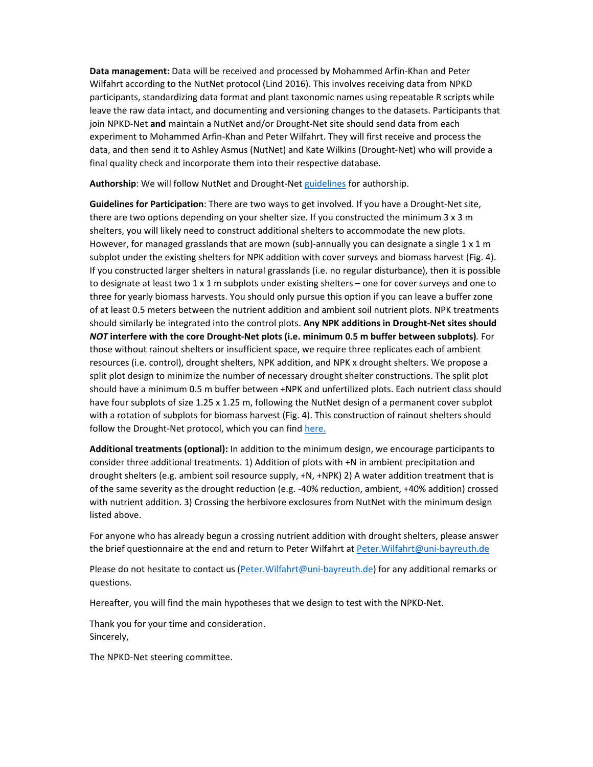**Data management:** Data will be received and processed by Mohammed Arfin‐Khan and Peter Wilfahrt according to the NutNet protocol (Lind 2016). This involves receiving data from NPKD participants, standardizing data format and plant taxonomic names using repeatable R scripts while leave the raw data intact, and documenting and versioning changes to the datasets. Participants that join NPKD‐Net **and** maintain a NutNet and/or Drought‐Net site should send data from each experiment to Mohammed Arfin‐Khan and Peter Wilfahrt. They will first receive and process the data, and then send it to Ashley Asmus (NutNet) and Kate Wilkins (Drought‐Net) who will provide a final quality check and incorporate them into their respective database.

**Authorship**: We will follow NutNet and Drought‐Net guidelines for authorship.

**Guidelines for Participation**: There are two ways to get involved. If you have a Drought‐Net site, there are two options depending on your shelter size. If you constructed the minimum 3 x 3 m shelters, you will likely need to construct additional shelters to accommodate the new plots. However, for managed grasslands that are mown (sub)-annually you can designate a single  $1 \times 1$  m subplot under the existing shelters for NPK addition with cover surveys and biomass harvest (Fig. 4). If you constructed larger shelters in natural grasslands (i.e. no regular disturbance), then it is possible to designate at least two 1 x 1 m subplots under existing shelters – one for cover surveys and one to three for yearly biomass harvests. You should only pursue this option if you can leave a buffer zone of at least 0.5 meters between the nutrient addition and ambient soil nutrient plots. NPK treatments should similarly be integrated into the control plots. **Any NPK additions in Drought‐Net sites should** *NOT* **interfere with the core Drought‐Net plots (i.e. minimum 0.5 m buffer between subplots)***.* For those without rainout shelters or insufficient space, we require three replicates each of ambient resources (i.e. control), drought shelters, NPK addition, and NPK x drought shelters. We propose a split plot design to minimize the number of necessary drought shelter constructions. The split plot should have a minimum 0.5 m buffer between +NPK and unfertilized plots. Each nutrient class should have four subplots of size 1.25 x 1.25 m, following the NutNet design of a permanent cover subplot with a rotation of subplots for biomass harvest (Fig. 4). This construction of rainout shelters should follow the Drought-Net protocol, which you can find here.

**Additional treatments (optional):** In addition to the minimum design, we encourage participants to consider three additional treatments. 1) Addition of plots with +N in ambient precipitation and drought shelters (e.g. ambient soil resource supply, +N, +NPK) 2) A water addition treatment that is of the same severity as the drought reduction (e.g. ‐40% reduction, ambient, +40% addition) crossed with nutrient addition. 3) Crossing the herbivore exclosures from NutNet with the minimum design listed above.

For anyone who has already begun a crossing nutrient addition with drought shelters, please answer the brief questionnaire at the end and return to Peter Wilfahrt at Peter. Wilfahrt@uni-bayreuth.de

Please do not hesitate to contact us (Peter.Wilfahrt@uni-bayreuth.de) for any additional remarks or questions.

Hereafter, you will find the main hypotheses that we design to test with the NPKD‐Net.

Thank you for your time and consideration. Sincerely,

The NPKD‐Net steering committee.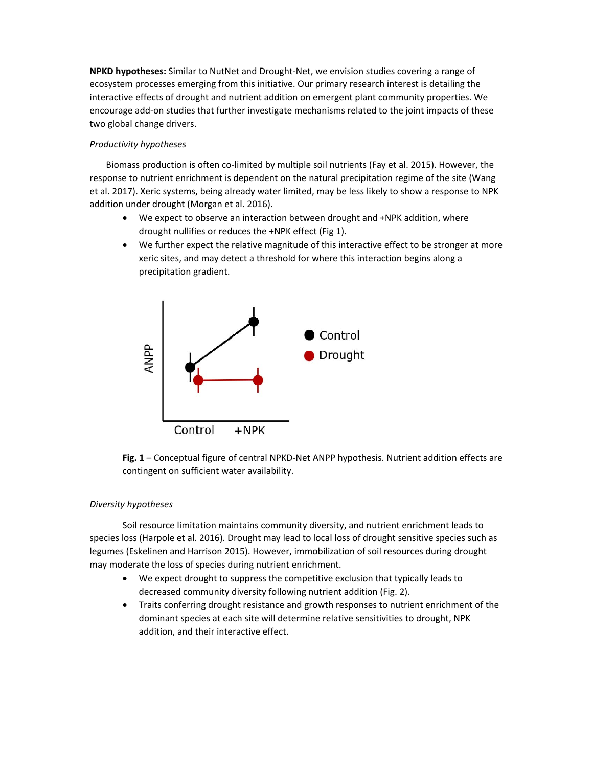**NPKD hypotheses:** Similar to NutNet and Drought‐Net, we envision studies covering a range of ecosystem processes emerging from this initiative. Our primary research interest is detailing the interactive effects of drought and nutrient addition on emergent plant community properties. We encourage add‐on studies that further investigate mechanisms related to the joint impacts of these two global change drivers.

# *Productivity hypotheses*

Biomass production is often co‐limited by multiple soil nutrients (Fay et al. 2015). However, the response to nutrient enrichment is dependent on the natural precipitation regime of the site (Wang et al. 2017). Xeric systems, being already water limited, may be less likely to show a response to NPK addition under drought (Morgan et al. 2016).

- We expect to observe an interaction between drought and +NPK addition, where drought nullifies or reduces the +NPK effect (Fig 1).
- We further expect the relative magnitude of this interactive effect to be stronger at more xeric sites, and may detect a threshold for where this interaction begins along a precipitation gradient.



Fig. 1 – Conceptual figure of central NPKD-Net ANPP hypothesis. Nutrient addition effects are contingent on sufficient water availability.

## *Diversity hypotheses*

 Soil resource limitation maintains community diversity, and nutrient enrichment leads to species loss (Harpole et al. 2016). Drought may lead to local loss of drought sensitive species such as legumes (Eskelinen and Harrison 2015). However, immobilization of soil resources during drought may moderate the loss of species during nutrient enrichment.

- We expect drought to suppress the competitive exclusion that typically leads to decreased community diversity following nutrient addition (Fig. 2).
- Traits conferring drought resistance and growth responses to nutrient enrichment of the dominant species at each site will determine relative sensitivities to drought, NPK addition, and their interactive effect.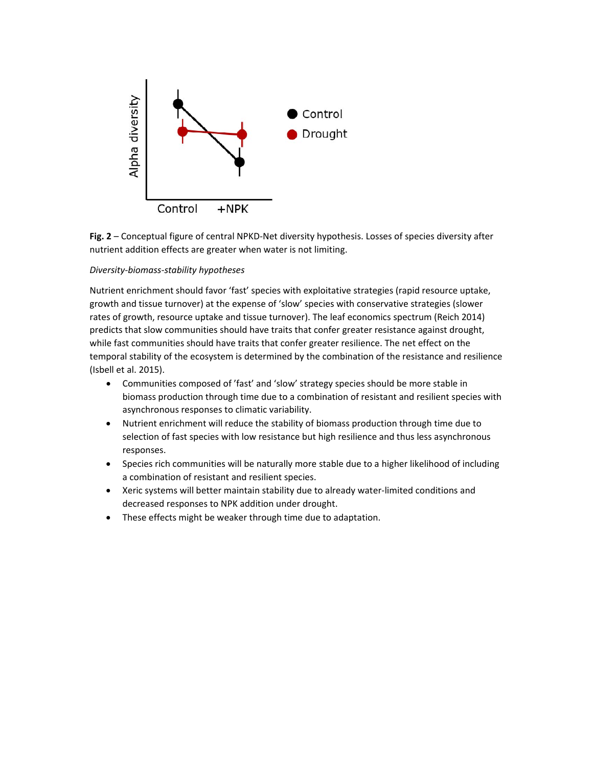

**Fig. 2** – Conceptual figure of central NPKD‐Net diversity hypothesis. Losses of species diversity after nutrient addition effects are greater when water is not limiting.

### *Diversity‐biomass‐stability hypotheses*

Nutrient enrichment should favor 'fast' species with exploitative strategies (rapid resource uptake, growth and tissue turnover) at the expense of 'slow' species with conservative strategies (slower rates of growth, resource uptake and tissue turnover). The leaf economics spectrum (Reich 2014) predicts that slow communities should have traits that confer greater resistance against drought, while fast communities should have traits that confer greater resilience. The net effect on the temporal stability of the ecosystem is determined by the combination of the resistance and resilience (Isbell et al. 2015).

- Communities composed of 'fast' and 'slow' strategy species should be more stable in biomass production through time due to a combination of resistant and resilient species with asynchronous responses to climatic variability.
- Nutrient enrichment will reduce the stability of biomass production through time due to selection of fast species with low resistance but high resilience and thus less asynchronous responses.
- Species rich communities will be naturally more stable due to a higher likelihood of including a combination of resistant and resilient species.
- Xeric systems will better maintain stability due to already water‐limited conditions and decreased responses to NPK addition under drought.
- These effects might be weaker through time due to adaptation.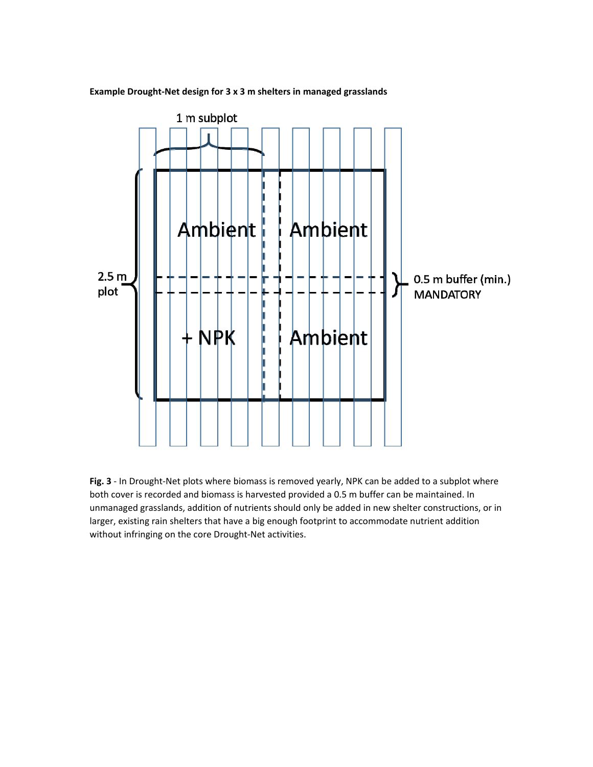

**Example Drought‐Net design for 3 x 3 m shelters in managed grasslands** 

Fig. 3 - In Drought-Net plots where biomass is removed yearly, NPK can be added to a subplot where both cover is recorded and biomass is harvested provided a 0.5 m buffer can be maintained. In unmanaged grasslands, addition of nutrients should only be added in new shelter constructions, or in larger, existing rain shelters that have a big enough footprint to accommodate nutrient addition without infringing on the core Drought‐Net activities.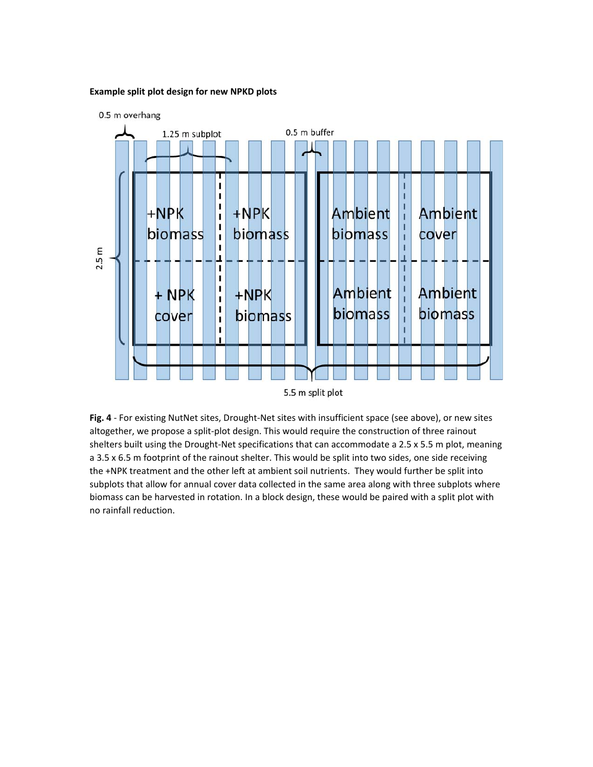### **Example split plot design for new NPKD plots**



5.5 m split plot

Fig. 4 - For existing NutNet sites, Drought-Net sites with insufficient space (see above), or new sites altogether, we propose a split‐plot design. This would require the construction of three rainout shelters built using the Drought-Net specifications that can accommodate a 2.5 x 5.5 m plot, meaning a 3.5 x 6.5 m footprint of the rainout shelter. This would be split into two sides, one side receiving the +NPK treatment and the other left at ambient soil nutrients. They would further be split into subplots that allow for annual cover data collected in the same area along with three subplots where biomass can be harvested in rotation. In a block design, these would be paired with a split plot with no rainfall reduction.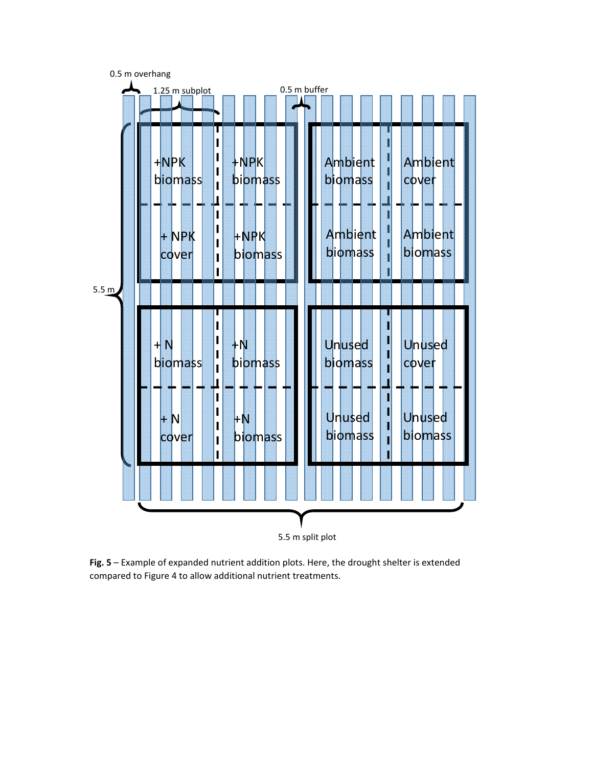0.5 m overhang



5.5 m split plot

**Fig. 5** – Example of expanded nutrient addition plots. Here, the drought shelter is extended compared to Figure 4 to allow additional nutrient treatments.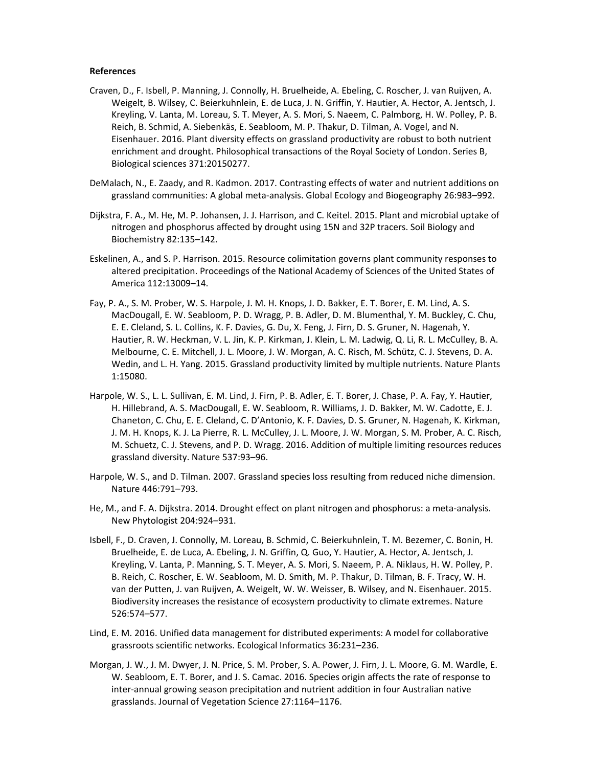#### **References**

- Craven, D., F. Isbell, P. Manning, J. Connolly, H. Bruelheide, A. Ebeling, C. Roscher, J. van Ruijven, A. Weigelt, B. Wilsey, C. Beierkuhnlein, E. de Luca, J. N. Griffin, Y. Hautier, A. Hector, A. Jentsch, J. Kreyling, V. Lanta, M. Loreau, S. T. Meyer, A. S. Mori, S. Naeem, C. Palmborg, H. W. Polley, P. B. Reich, B. Schmid, A. Siebenkäs, E. Seabloom, M. P. Thakur, D. Tilman, A. Vogel, and N. Eisenhauer. 2016. Plant diversity effects on grassland productivity are robust to both nutrient enrichment and drought. Philosophical transactions of the Royal Society of London. Series B, Biological sciences 371:20150277.
- DeMalach, N., E. Zaady, and R. Kadmon. 2017. Contrasting effects of water and nutrient additions on grassland communities: A global meta‐analysis. Global Ecology and Biogeography 26:983–992.
- Dijkstra, F. A., M. He, M. P. Johansen, J. J. Harrison, and C. Keitel. 2015. Plant and microbial uptake of nitrogen and phosphorus affected by drought using 15N and 32P tracers. Soil Biology and Biochemistry 82:135–142.
- Eskelinen, A., and S. P. Harrison. 2015. Resource colimitation governs plant community responses to altered precipitation. Proceedings of the National Academy of Sciences of the United States of America 112:13009–14.
- Fay, P. A., S. M. Prober, W. S. Harpole, J. M. H. Knops, J. D. Bakker, E. T. Borer, E. M. Lind, A. S. MacDougall, E. W. Seabloom, P. D. Wragg, P. B. Adler, D. M. Blumenthal, Y. M. Buckley, C. Chu, E. E. Cleland, S. L. Collins, K. F. Davies, G. Du, X. Feng, J. Firn, D. S. Gruner, N. Hagenah, Y. Hautier, R. W. Heckman, V. L. Jin, K. P. Kirkman, J. Klein, L. M. Ladwig, Q. Li, R. L. McCulley, B. A. Melbourne, C. E. Mitchell, J. L. Moore, J. W. Morgan, A. C. Risch, M. Schütz, C. J. Stevens, D. A. Wedin, and L. H. Yang. 2015. Grassland productivity limited by multiple nutrients. Nature Plants 1:15080.
- Harpole, W. S., L. L. Sullivan, E. M. Lind, J. Firn, P. B. Adler, E. T. Borer, J. Chase, P. A. Fay, Y. Hautier, H. Hillebrand, A. S. MacDougall, E. W. Seabloom, R. Williams, J. D. Bakker, M. W. Cadotte, E. J. Chaneton, C. Chu, E. E. Cleland, C. D'Antonio, K. F. Davies, D. S. Gruner, N. Hagenah, K. Kirkman, J. M. H. Knops, K. J. La Pierre, R. L. McCulley, J. L. Moore, J. W. Morgan, S. M. Prober, A. C. Risch, M. Schuetz, C. J. Stevens, and P. D. Wragg. 2016. Addition of multiple limiting resources reduces grassland diversity. Nature 537:93–96.
- Harpole, W. S., and D. Tilman. 2007. Grassland species loss resulting from reduced niche dimension. Nature 446:791–793.
- He, M., and F. A. Dijkstra. 2014. Drought effect on plant nitrogen and phosphorus: a meta-analysis. New Phytologist 204:924–931.
- Isbell, F., D. Craven, J. Connolly, M. Loreau, B. Schmid, C. Beierkuhnlein, T. M. Bezemer, C. Bonin, H. Bruelheide, E. de Luca, A. Ebeling, J. N. Griffin, Q. Guo, Y. Hautier, A. Hector, A. Jentsch, J. Kreyling, V. Lanta, P. Manning, S. T. Meyer, A. S. Mori, S. Naeem, P. A. Niklaus, H. W. Polley, P. B. Reich, C. Roscher, E. W. Seabloom, M. D. Smith, M. P. Thakur, D. Tilman, B. F. Tracy, W. H. van der Putten, J. van Ruijven, A. Weigelt, W. W. Weisser, B. Wilsey, and N. Eisenhauer. 2015. Biodiversity increases the resistance of ecosystem productivity to climate extremes. Nature 526:574–577.
- Lind, E. M. 2016. Unified data management for distributed experiments: A model for collaborative grassroots scientific networks. Ecological Informatics 36:231–236.
- Morgan, J. W., J. M. Dwyer, J. N. Price, S. M. Prober, S. A. Power, J. Firn, J. L. Moore, G. M. Wardle, E. W. Seabloom, E. T. Borer, and J. S. Camac. 2016. Species origin affects the rate of response to inter-annual growing season precipitation and nutrient addition in four Australian native grasslands. Journal of Vegetation Science 27:1164–1176.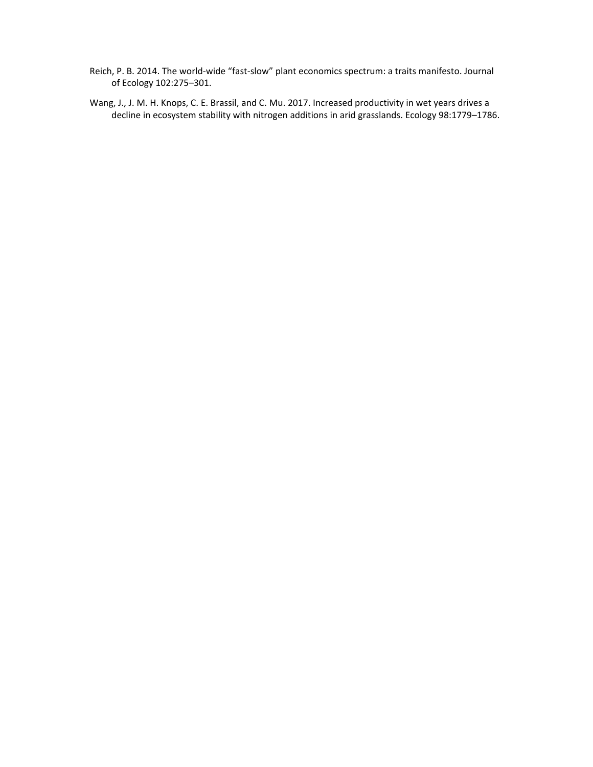- Reich, P. B. 2014. The world‐wide "fast‐slow" plant economics spectrum: a traits manifesto. Journal of Ecology 102:275–301.
- Wang, J., J. M. H. Knops, C. E. Brassil, and C. Mu. 2017. Increased productivity in wet years drives a decline in ecosystem stability with nitrogen additions in arid grasslands. Ecology 98:1779–1786.